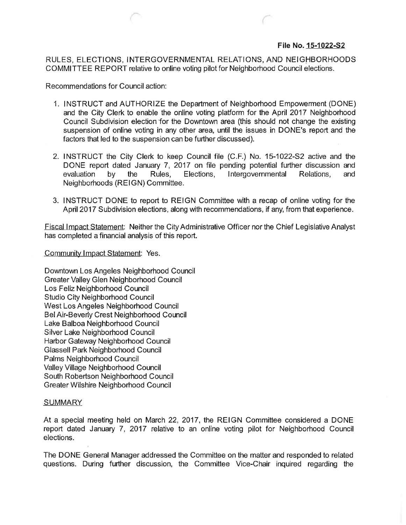## **File No. 15-1022-52**

RULES, ELECTIONS, INTERGOVERNMENTAL RELATIONS, AND NEIGHBORHOODS COMMITTEE REPORT relative to online voting pilot for Neighborhood Council elections.

Recommendations for Council action:

- 1. INSTRUCT and AUTHORIZE the Department of Neighborhood Empowerment (DONE) and the City Clerk to enable the online voting platform for the April 2017 Neighborhood Council Subdivision election ·for the Downtown area (this should not change the existing suspension of online voting in any other area, until the issues in DONE's report and the factors that led to the suspension can be further discussed).
- 2. INSTRUCT the City Clerk to keep Council file (C.F.) No. 15-1022-S2 active and the DONE report dated January 7, 2017 on file pending potential further discussion and evaluation by the Rules, Elections, Intergovernmental Relations, and Neighborhoods (REIGN) Committee.
- 3. INSTRUCT DONE to report to REIGN Committee with a recap of online voting for the April 2017 Subdivision elections, along with recommendations, if any, from that experience.

Fiscal Impact Statement: Neither the City Administrative Officer nor the Chief Legislative Analyst has completed a financial analysis of this report.

Community Impact Statement: Yes.

Downtown Los Angeles Neighborhood Council Greater Valley Glen Neighborhood Council Los Feliz Neighborhood Council Studio City Neighborhood Council West Los Angeles Neighborhood Council Bel Air-Beverly Crest Neighborhood Council Lake Balboa Neighborhood Council Silver Lake Neighborhood Council Harbor Gateway Neighborhood Council Glassell Park Neighborhood Council Palms Neighborhood Council Valley Village Neighborhood Council South Robertson Neighborhood Council Greater Wilshire Neighborhood Council

## **SUMMARY**

At a special meeting held on March 22, 2017, the REIGN Committee considered a DONE report dated January 7, 2017 relative to an online voting pilot for Neighborhood Council elections.

The DONE General Manager addressed the Committee on the matter and responded to related questions. During further discussion, the Committee Vice-Chair inquired regarding the